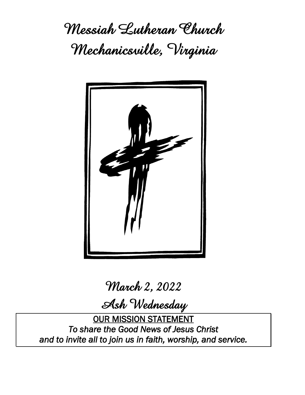**Messiah Lutheran Church Mechanicsville, Virginia**



**March 2, 2022**

**Ash Wednesday**

OUR MISSION STATEMENT *To share the Good News of Jesus Christ and to invite all to join us in faith, worship, and service.*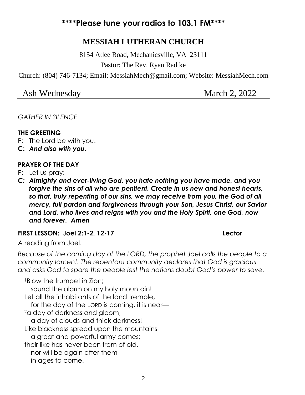# **\*\*\*\*Please tune your radios to 103.1 FM\*\*\*\***

# **MESSIAH LUTHERAN CHURCH**

8154 Atlee Road, Mechanicsville, VA 23111

Pastor: The Rev. Ryan Radtke

Church: (804) 746-7134; Email: MessiahMech@gmail.com; Website: MessiahMech.com

| March 2, 2022<br>Ash Wednesday |
|--------------------------------|
|--------------------------------|

*GATHER IN SILENCE*

#### **THE GREETING**

- P: The Lord be with you.
- **C:** *And also with you.*

#### **PRAYER OF THE DAY**

P: Let us pray:

*C: Almighty and ever-living God, you hate nothing you have made, and you forgive the sins of all who are penitent. Create in us new and honest hearts, so that, truly repenting of our sins, we may receive from you, the God of all mercy, full pardon and forgiveness through your Son, Jesus Christ, our Savior and Lord, who lives and reigns with you and the Holy Spirit, one God, now and forever. Amen*

#### **FIRST LESSON: Joel 2:1-2, 12-17 Lector**

A reading from Joel.

*Because of the coming day of the LORD, the prophet Joel calls the people to a community lament. The repentant community declares that God is gracious and asks God to spare the people lest the nations doubt God's power to save.*

<sup>1</sup>Blow the trumpet in Zion; sound the alarm on my holy mountain! Let all the inhabitants of the land tremble, for the day of the LORD is coming, it is near— <sup>2</sup>a day of darkness and gloom, a day of clouds and thick darkness! Like blackness spread upon the mountains a great and powerful army comes; their like has never been from of old, nor will be again after them in ages to come.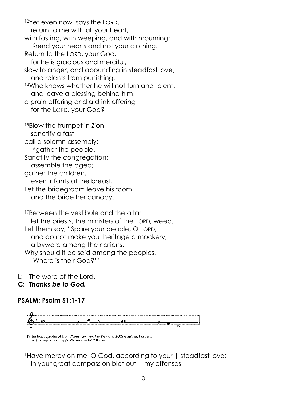<sup>12</sup>Yet even now, says the LORD, return to me with all your heart, with fasting, with weeping, and with mourning; <sup>13</sup>rend your hearts and not your clothing. Return to the LORD, your God, for he is gracious and merciful, slow to anger, and abounding in steadfast love, and relents from punishing. <sup>14</sup>Who knows whether he will not turn and relent, and leave a blessing behind him, a grain offering and a drink offering for the LORD, your God? <sup>15</sup>Blow the trumpet in Zion; sanctify a fast; call a solemn assembly; <sup>16</sup>gather the people. Sanctify the congregation; assemble the aged; gather the children, even infants at the breast. Let the bridegroom leave his room, and the bride her canopy.

<sup>17</sup>Between the vestibule and the altar let the priests, the ministers of the LORD, weep. Let them say, "Spare your people, O LORD, and do not make your heritage a mockery, a byword among the nations. Why should it be said among the peoples, 'Where is their God?' "

L: The word of the Lord.

**C:** *Thanks be to God.*

#### **PSALM: Psalm 51:1-17**



Psalm tone reproduced from *Psalter for Worship Year C*  $\odot$  2006 Augsburg Fortress. May be reproduced by permission for local use only.

<sup>1</sup>Have mercy on me, O God, according to your | steadfast love; in your great compassion blot out | my offenses.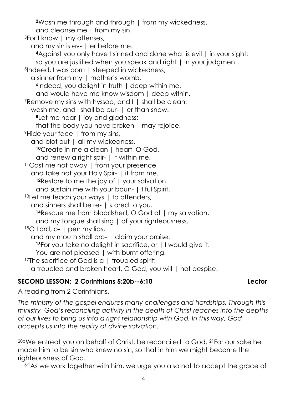**<sup>2</sup>**Wash me through and through **|** from my wickedness,

and cleanse me **|** from my sin.

<sup>3</sup>For I know | my offenses,

and my sin is ev- | er before me.

**<sup>4</sup>**Against you only have I sinned and done what is evil **|** in your sight; so you are justified when you speak and right **|** in your judgment.

<sup>5</sup>Indeed, I was born | steeped in wickedness,

a sinner from my | mother's womb.

**<sup>6</sup>**Indeed, you delight in truth **|** deep within me,

and would have me know wisdom **|** deep within.

<sup>7</sup>Remove my sins with hyssop, and I | shall be clean;

wash me, and I shall be pur- | er than snow.

**<sup>8</sup>**Let me hear **|** joy and gladness;

that the body you have broken **|** may rejoice.

<sup>9</sup> Hide your face I from my sins,

and blot out | all my wickedness.

**<sup>10</sup>**Create in me a clean **|** heart, O God,

and renew a right spir- **|** it within me.

<sup>11</sup>Cast me not away | from your presence,

and take not your Holy Spir- | it from me.

**<sup>12</sup>**Restore to me the joy of **|** your salvation

and sustain me with your boun- **|** tiful Spirit.

13Let me teach your ways | to offenders,

and sinners shall be re- | stored to you.

**<sup>14</sup>**Rescue me from bloodshed, O God of **|** my salvation,

and my tongue shall sing **|** of your righteousness.

15O Lord, o- | pen my lips,

and my mouth shall pro- | claim your praise.

**<sup>16</sup>**For you take no delight in sacrifice, or **|** I would give it.

You are not pleased **|** with burnt offering.

<sup>17</sup>The sacrifice of God is a 1 troubled spirit;

a troubled and broken heart, O God, you will | not despise.

# **SECOND LESSON: 2 Corinthians 5:20b--6:10 Lector**

A reading from 2 Corinthians.

*The ministry of the gospel endures many challenges and hardships. Through this ministry, God's reconciling activity in the death of Christ reaches into the depths of our lives to bring us into a right relationship with God. In this way, God accepts us into the reality of divine salvation.*

<sup>20b</sup>We entreat you on behalf of Christ, be reconciled to God. <sup>21</sup> For our sake he made him to be sin who knew no sin, so that in him we might become the righteousness of God.

6:1As we work together with him, we urge you also not to accept the grace of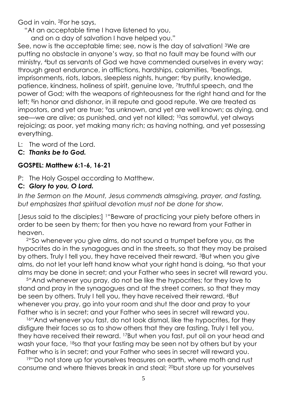God in vain. 2For he says,

"At an acceptable time I have listened to you,

and on a day of salvation I have helped you."

See, now is the acceptable time; see, now is the day of salvation! <sup>3</sup>We are putting no obstacle in anyone's way, so that no fault may be found with our ministry, 4but as servants of God we have commended ourselves in every way: through great endurance, in afflictions, hardships, calamities, 5beatings, imprisonments, riots, labors, sleepless nights, hunger; <sup>6</sup>by purity, knowledge, patience, kindness, holiness of spirit, genuine love, 7truthful speech, and the power of God; with the weapons of righteousness for the right hand and for the left; <sup>8</sup>in honor and dishonor, in ill repute and good repute. We are treated as impostors, and yet are true; <sup>9</sup>as unknown, and yet are well known; as dying, and see—we are alive; as punished, and yet not killed; 10as sorrowful, yet always rejoicing; as poor, yet making many rich; as having nothing, and yet possessing everything.

- L: The word of the Lord.
- **C:** *Thanks be to God.*

## **GOSPEL: Matthew 6:1-6, 16-21**

- P: The Holy Gospel according to Matthew.
- **C:** *Glory to you, O Lord.*

*In the Sermon on the Mount, Jesus commends almsgiving, prayer, and fasting, but emphasizes that spiritual devotion must not be done for show.*

[Jesus said to the disciples:] 1"Beware of practicing your piety before others in order to be seen by them; for then you have no reward from your Father in heaven.

<sup>2</sup>"So whenever you give alms, do not sound a trumpet before you, as the hypocrites do in the synagogues and in the streets, so that they may be praised by others. Truly I tell you, they have received their reward. 3But when you give alms, do not let your left hand know what your right hand is doing, 4so that your alms may be done in secret; and your Father who sees in secret will reward you.

<sup>5</sup>"And whenever you pray, do not be like the hypocrites; for they love to stand and pray in the synagogues and at the street corners, so that they may be seen by others. Truly I tell you, they have received their reward. <sup>6</sup>But whenever you pray, go into your room and shut the door and pray to your Father who is in secret; and your Father who sees in secret will reward you.

<sup>16"</sup> And whenever you fast, do not look dismal, like the hypocrites, for they disfigure their faces so as to show others that they are fasting. Truly I tell you, they have received their reward. 17But when you fast, put oil on your head and wash your face, 18so that your fasting may be seen not by others but by your Father who is in secret; and your Father who sees in secret will reward you.

<sup>19"</sup>Do not store up for yourselves treasures on earth, where moth and rust consume and where thieves break in and steal; 20but store up for yourselves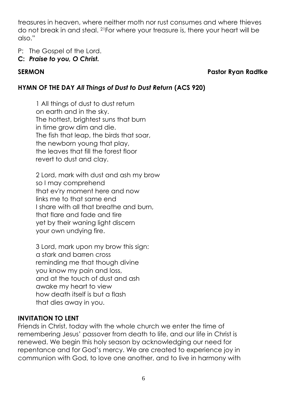treasures in heaven, where neither moth nor rust consumes and where thieves do not break in and steal. 21For where your treasure is, there your heart will be also."

P: The Gospel of the Lord.

## **C:** *Praise to you, O Christ.*

## **SERMON Pastor Ryan Radtke**

# **HYMN OF THE DAY** *All Things of Dust to Dust Return* **(ACS 920)**

1 All things of dust to dust return on earth and in the sky. The hottest, brightest suns that burn in time grow dim and die. The fish that leap, the birds that soar, the newborn young that play, the leaves that fill the forest floor revert to dust and clay.

2 Lord, mark with dust and ash my brow so I may comprehend that ev'ry moment here and now links me to that same end I share with all that breathe and burn, that flare and fade and tire yet by their waning light discern your own undying fire.

3 Lord, mark upon my brow this sign: a stark and barren cross reminding me that though divine you know my pain and loss, and at the touch of dust and ash awake my heart to view how death itself is but a flash that dies away in you.

# **INVITATION TO LENT**

Friends in Christ, today with the whole church we enter the time of remembering Jesus' passover from death to life, and our life in Christ is renewed. We begin this holy season by acknowledging our need for repentance and for God's mercy. We are created to experience joy in communion with God, to love one another, and to live in harmony with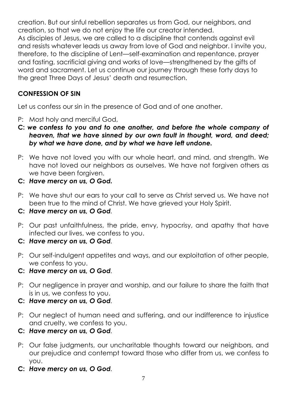creation. But our sinful rebellion separates us from God, our neighbors, and creation, so that we do not enjoy the life our creator intended. As disciples of Jesus, we are called to a discipline that contends against evil and resists whatever leads us away from love of God and neighbor. I invite you, therefore, to the discipline of Lent—self-examination and repentance, prayer and fasting, sacrificial giving and works of love—strengthened by the gifts of word and sacrament. Let us continue our journey through these forty days to the great Three Days of Jesus' death and resurrection.

## **CONFESSION OF SIN**

Let us confess our sin in the presence of God and of one another.

- P: Most holy and merciful God,
- **C:** *we confess to you and to one another, and before the whole company of heaven, that we have sinned by our own fault in thought, word, and deed; by what we have done, and by what we have left undone.*
- P: We have not loved you with our whole heart, and mind, and strength. We have not loved our neighbors as ourselves. We have not forgiven others as we have been forgiven.
- **C:** *Have mercy on us, O God.*
- P: We have shut our ears to your call to serve as Christ served us. We have not been true to the mind of Christ. We have grieved your Holy Spirit.
- **C:** *Have mercy on us, O God.*
- P: Our past unfaithfulness, the pride, envy, hypocrisy, and apathy that have infected our lives, we confess to you.
- **C:** *Have mercy on us, O God.*
- P: Our self-indulgent appetites and ways, and our exploitation of other people, we confess to you.
- **C:** *Have mercy on us, O God.*
- P: Our negligence in prayer and worship, and our failure to share the faith that is in us, we confess to you.
- **C:** *Have mercy on us, O God.*
- P: Our neglect of human need and suffering, and our indifference to injustice and cruelty, we confess to you.
- **C:** *Have mercy on us, O God.*
- P: Our false judgments, our uncharitable thoughts toward our neighbors, and our prejudice and contempt toward those who differ from us, we confess to you.
- **C:** *Have mercy on us, O God.*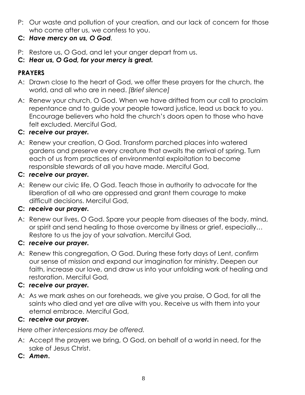- P: Our waste and pollution of your creation, and our lack of concern for those who come after us, we confess to you.
- **C:** *Have mercy on us, O God.*
- P: Restore us, O God, and let your anger depart from us.
- **C:** *Hear us, O God, for your mercy is great.*

# **PRAYERS**

- A: Drawn close to the heart of God, we offer these prayers for the church, the world, and all who are in need. *[Brief silence]*
- A: Renew your church, O God. When we have drifted from our call to proclaim repentance and to guide your people toward justice, lead us back to you. Encourage believers who hold the church's doors open to those who have felt excluded. Merciful God,

## **C:** *receive our prayer.*

A: Renew your creation, O God. Transform parched places into watered gardens and preserve every creature that awaits the arrival of spring. Turn each of us from practices of environmental exploitation to become responsible stewards of all you have made. Merciful God,

## **C:** *receive our prayer.*

A: Renew our civic life, O God. Teach those in authority to advocate for the liberation of all who are oppressed and grant them courage to make difficult decisions. Merciful God,

## **C:** *receive our prayer.*

A: Renew our lives, O God. Spare your people from diseases of the body, mind, or spirit and send healing to those overcome by illness or grief, especially… Restore to us the joy of your salvation. Merciful God,

## **C:** *receive our prayer.*

A: Renew this congregation, O God. During these forty days of Lent, confirm our sense of mission and expand our imagination for ministry. Deepen our faith, increase our love, and draw us into your unfolding work of healing and restoration. Merciful God,

## **C:** *receive our prayer.*

A: As we mark ashes on our foreheads, we give you praise, O God, for all the saints who died and yet are alive with you. Receive us with them into your eternal embrace. Merciful God,

## **C:** *receive our prayer.*

*Here other intercessions may be offered.*

- A: Accept the prayers we bring, O God, on behalf of a world in need, for the sake of Jesus Christ.
- **C:** *Amen***.**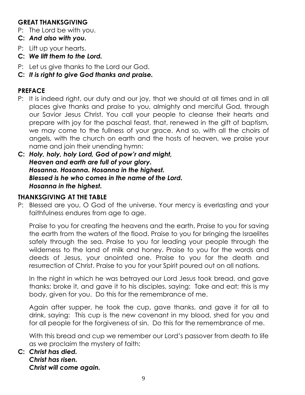## **GREAT THANKSGIVING**

- P: The Lord be with you.
- **C:** *And also with you.*
- P: Lift up your hearts.
- **C:** *We lift them to the Lord.*
- P: Let us give thanks to the Lord our God.
- **C:** *It is right to give God thanks and praise.*

#### **PREFACE**

- P: It is indeed right, our duty and our joy, that we should at all times and in all places give thanks and praise to you, almighty and merciful God, through our Savior Jesus Christ. You call your people to cleanse their hearts and prepare with joy for the paschal feast, that, renewed in the gift of baptism, we may come to the fullness of your grace. And so, with all the choirs of angels, with the church on earth and the hosts of heaven, we praise your name and join their unending hymn:
- **C:** *Holy, holy, holy Lord, God of pow'r and might, Heaven and earth are full of your glory. Hosanna. Hosanna. Hosanna in the highest. Blessed is he who comes in the name of the Lord. Hosanna in the highest.*

#### **THANKSGIVING AT THE TABLE**

P: Blessed are you, O God of the universe. Your mercy is everlasting and your faithfulness endures from age to age.

Praise to you for creating the heavens and the earth. Praise to you for saving the earth from the waters of the flood. Praise to you for bringing the Israelites safely through the sea. Praise to you for leading your people through the wilderness to the land of milk and honey. Praise to you for the words and deeds of Jesus, your anointed one. Praise to you for the death and resurrection of Christ. Praise to you for your Spirit poured out on all nations.

In the night in which he was betrayed our Lord Jesus took bread, and gave thanks; broke it, and gave it to his disciples, saying: Take and eat; this is my body, given for you. Do this for the remembrance of me.

Again after supper, he took the cup, gave thanks, and gave it for all to drink, saying: This cup is the new covenant in my blood, shed for you and for all people for the forgiveness of sin. Do this for the remembrance of me.

With this bread and cup we remember our Lord's passover from death to life as we proclaim the mystery of faith:

#### **C:** *Christ has died. Christ has risen. Christ will come again.*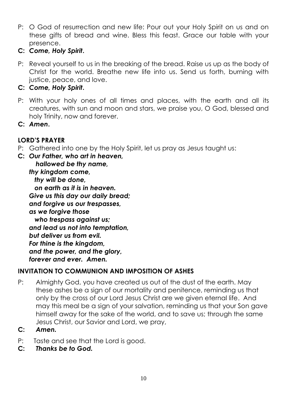- P: O God of resurrection and new life: Pour out your Holy Spirit on us and on these gifts of bread and wine. Bless this feast. Grace our table with your presence.
- **C:** *Come, Holy Spirit***.**
- P: Reveal yourself to us in the breaking of the bread. Raise us up as the body of Christ for the world. Breathe new life into us. Send us forth, burning with justice, peace, and love.
- **C:** *Come, Holy Spirit***.**
- P: With your holy ones of all times and places, with the earth and all its creatures, with sun and moon and stars, we praise you, O God, blessed and holy Trinity, now and forever.
- **C:** *Amen***.**

## **LORD'S PRAYER**

- P: Gathered into one by the Holy Spirit, let us pray as Jesus taught us:
- **C:** *Our Father, who art in heaven, hallowed be thy name, thy kingdom come,*

 *thy will be done, on earth as it is in heaven. Give us this day our daily bread; and forgive us our trespasses, as we forgive those who trespass against us; and lead us not into temptation, but deliver us from evil. For thine is the kingdom, and the power, and the glory, forever and ever. Amen.*

# **INVITATION TO COMMUNION AND IMPOSITION OF ASHES**

- P: Almighty God, you have created us out of the dust of the earth. May these ashes be a sign of our mortality and penitence, reminding us that only by the cross of our Lord Jesus Christ are we given eternal life. And may this meal be a sign of your salvation, reminding us that your Son gave himself away for the sake of the world, and to save us; through the same Jesus Christ, our Savior and Lord, we pray,
- **C:** *Amen.*
- P: Taste and see that the Lord is good.
- **C:** *Thanks be to God.*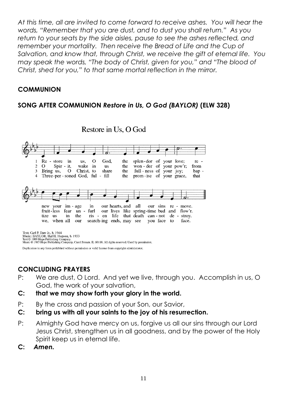*At this time, all are invited to come forward to receive ashes. You will hear the words, "Remember that you are dust, and to dust you shall return." As you return to your seats by the side aisles, pause to see the ashes reflected, and remember your mortality. Then receive the Bread of Life and the Cup of Salvation, and know that, through Christ, we receive the gift of eternal life. You may speak the words, "The body of Christ, given for you," and "The blood of Christ, shed for you," to that same mortal reflection in the mirror.*

#### **COMMUNION**

## **SONG AFTER COMMUNION** *Restore in Us, O God (BAYLOR)* **(ELW 328)**



Restore in Us, O God

Text: Carl P. Daw Jr., b. 1944<br>Music: BAYLOR, Hal H. Hopson, b. 1933<br>Text © 1989 Hope Publishing Company.<br>Music © 1985 Hope Publishing Company. Carol Stream, IL 60188. All rights reserved. Used by permission.

Duplication in any form prohibited without permission or valid license from copyright administrator.

# **CONCLUDING PRAYERS**

- P: We are dust, O Lord. And yet we live, through you. Accomplish in us, O God, the work of your salvation,
- **C: that we may show forth your glory in the world.**
- P: By the cross and passion of your Son, our Savior,
- **C: bring us with all your saints to the joy of his resurrection.**
- P: Almighty God have mercy on us, forgive us all our sins through our Lord Jesus Christ, strengthen us in all goodness, and by the power of the Holy Spirit keep us in eternal life.
- **C:** *Amen.*